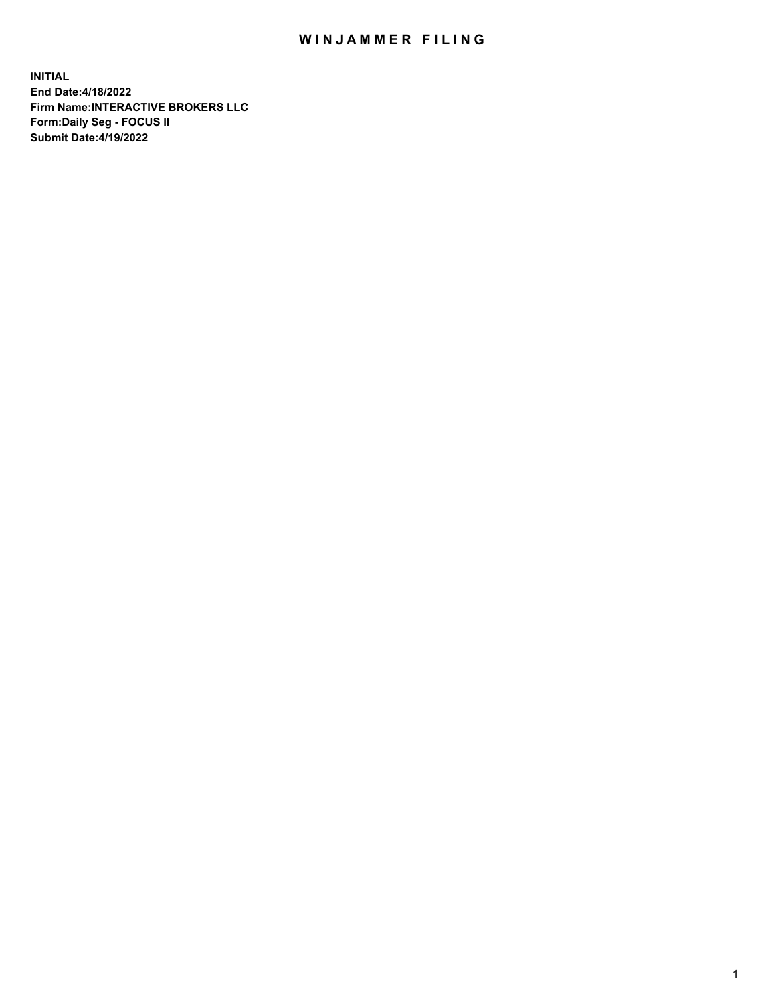## WIN JAMMER FILING

**INITIAL End Date:4/18/2022 Firm Name:INTERACTIVE BROKERS LLC Form:Daily Seg - FOCUS II Submit Date:4/19/2022**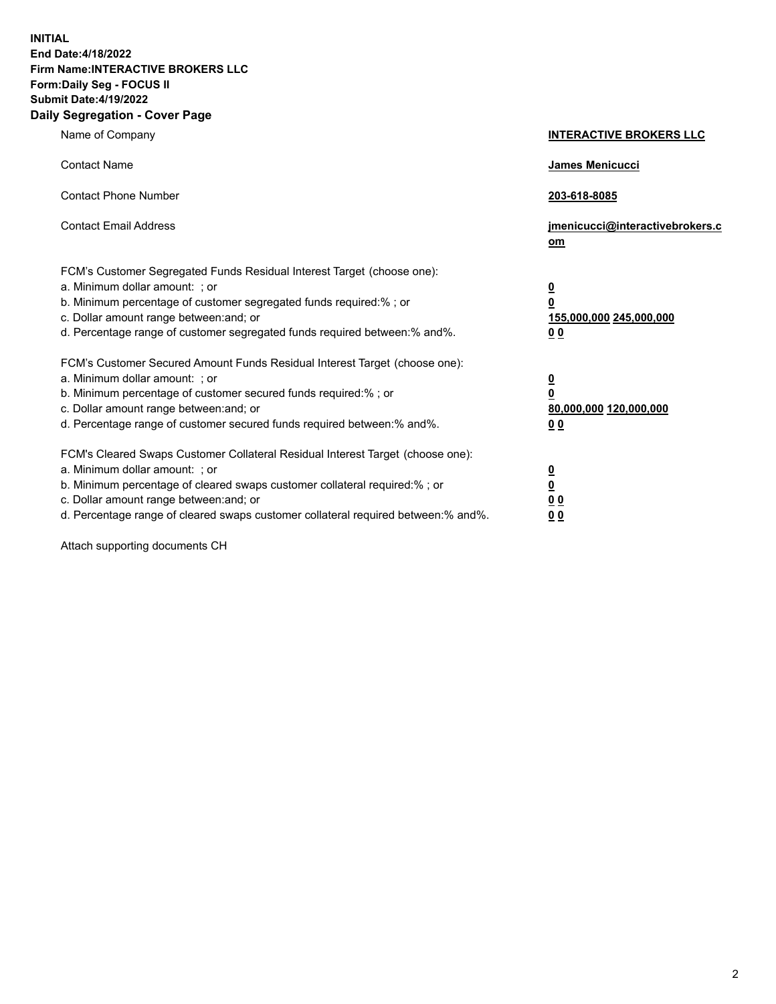**INITIAL End Date:4/18/2022 Firm Name:INTERACTIVE BROKERS LLC Form:Daily Seg - FOCUS II Submit Date:4/19/2022 Daily Segregation - Cover Page**

| Name of Company                                                                                                                                                                                                                                                                                                               | <b>INTERACTIVE BROKERS LLC</b>                                                                  |  |
|-------------------------------------------------------------------------------------------------------------------------------------------------------------------------------------------------------------------------------------------------------------------------------------------------------------------------------|-------------------------------------------------------------------------------------------------|--|
| <b>Contact Name</b>                                                                                                                                                                                                                                                                                                           | James Menicucci                                                                                 |  |
| <b>Contact Phone Number</b>                                                                                                                                                                                                                                                                                                   | 203-618-8085                                                                                    |  |
| <b>Contact Email Address</b>                                                                                                                                                                                                                                                                                                  | jmenicucci@interactivebrokers.c<br><u>om</u>                                                    |  |
| FCM's Customer Segregated Funds Residual Interest Target (choose one):<br>a. Minimum dollar amount: ; or<br>b. Minimum percentage of customer segregated funds required:% ; or<br>c. Dollar amount range between: and; or<br>d. Percentage range of customer segregated funds required between:% and%.                        | $\overline{\mathbf{0}}$<br>$\overline{\mathbf{0}}$<br>155,000,000 245,000,000<br>0 <sub>0</sub> |  |
| FCM's Customer Secured Amount Funds Residual Interest Target (choose one):<br>a. Minimum dollar amount: ; or<br>b. Minimum percentage of customer secured funds required:%; or<br>c. Dollar amount range between: and; or<br>d. Percentage range of customer secured funds required between:% and%.                           | $\overline{\mathbf{0}}$<br>$\overline{\mathbf{0}}$<br>80,000,000 120,000,000<br>0 <sub>0</sub>  |  |
| FCM's Cleared Swaps Customer Collateral Residual Interest Target (choose one):<br>a. Minimum dollar amount: ; or<br>b. Minimum percentage of cleared swaps customer collateral required:%; or<br>c. Dollar amount range between: and; or<br>d. Percentage range of cleared swaps customer collateral required between:% and%. | $\overline{\mathbf{0}}$<br>$\overline{\mathbf{0}}$<br>0 <sub>0</sub><br>0 <sub>0</sub>          |  |

Attach supporting documents CH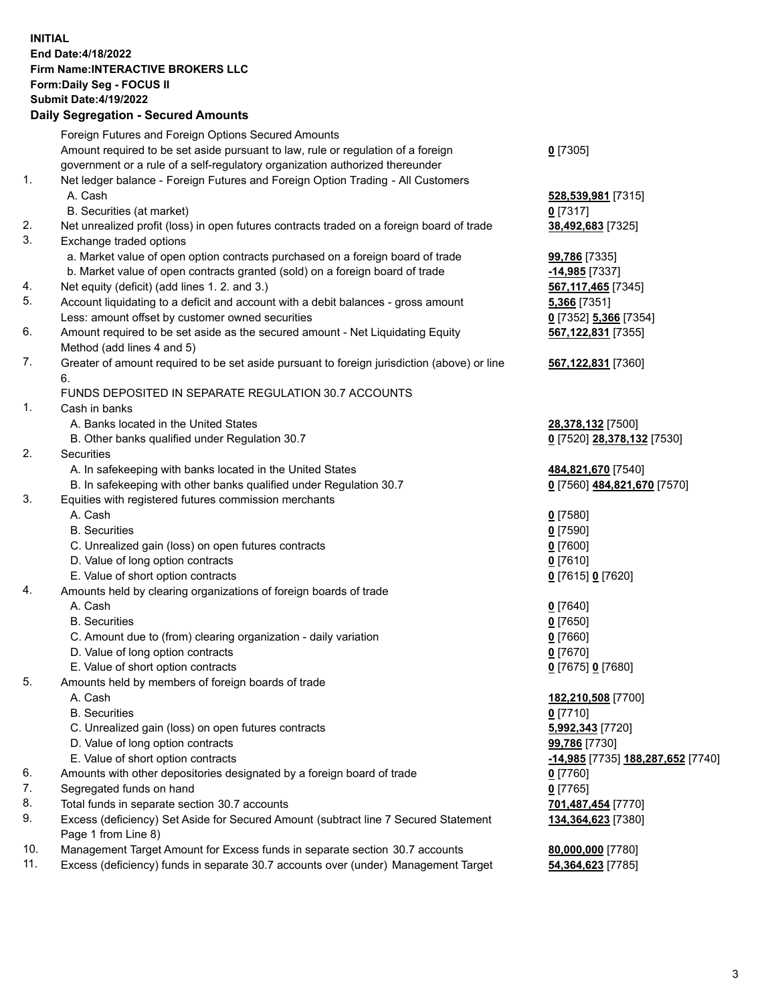**INITIAL End Date:4/18/2022 Firm Name:INTERACTIVE BROKERS LLC Form:Daily Seg - FOCUS II Submit Date:4/19/2022 Daily Segregation - Secured Amounts**

## Foreign Futures and Foreign Options Secured Amounts Amount required to be set aside pursuant to law, rule or regulation of a foreign government or a rule of a self-regulatory organization authorized thereunder **0** [7305] 1. Net ledger balance - Foreign Futures and Foreign Option Trading - All Customers A. Cash **528,539,981** [7315] B. Securities (at market) **0** [7317] 2. Net unrealized profit (loss) in open futures contracts traded on a foreign board of trade **38,492,683** [7325] 3. Exchange traded options a. Market value of open option contracts purchased on a foreign board of trade **99,786** [7335] b. Market value of open contracts granted (sold) on a foreign board of trade **-14,985** [7337] 4. Net equity (deficit) (add lines 1. 2. and 3.) **567,117,465** [7345] 5. Account liquidating to a deficit and account with a debit balances - gross amount **5,366** [7351] Less: amount offset by customer owned securities **0** [7352] **5,366** [7354] 6. Amount required to be set aside as the secured amount - Net Liquidating Equity Method (add lines 4 and 5) **567,122,831** [7355] 7. Greater of amount required to be set aside pursuant to foreign jurisdiction (above) or line 6. **567,122,831** [7360] FUNDS DEPOSITED IN SEPARATE REGULATION 30.7 ACCOUNTS 1. Cash in banks A. Banks located in the United States **28,378,132** [7500] B. Other banks qualified under Regulation 30.7 **0** [7520] **28,378,132** [7530] 2. Securities A. In safekeeping with banks located in the United States **484,821,670** [7540] B. In safekeeping with other banks qualified under Regulation 30.7 **0** [7560] **484,821,670** [7570] 3. Equities with registered futures commission merchants A. Cash **0** [7580] B. Securities **0** [7590] C. Unrealized gain (loss) on open futures contracts **0** [7600] D. Value of long option contracts **0** [7610] E. Value of short option contracts **0** [7615] **0** [7620] 4. Amounts held by clearing organizations of foreign boards of trade A. Cash **0** [7640] B. Securities **0** [7650] C. Amount due to (from) clearing organization - daily variation **0** [7660] D. Value of long option contracts **0** [7670] E. Value of short option contracts **0** [7675] **0** [7680] 5. Amounts held by members of foreign boards of trade A. Cash **182,210,508** [7700] B. Securities **0** [7710] C. Unrealized gain (loss) on open futures contracts **5,992,343** [7720] D. Value of long option contracts **99,786** [7730] E. Value of short option contracts **-14,985** [7735] **188,287,652** [7740] 6. Amounts with other depositories designated by a foreign board of trade **0** [7760] 7. Segregated funds on hand **0** [7765] 8. Total funds in separate section 30.7 accounts **701,487,454** [7770] 9. Excess (deficiency) Set Aside for Secured Amount (subtract line 7 Secured Statement Page 1 from Line 8) **134,364,623** [7380] 10. Management Target Amount for Excess funds in separate section 30.7 accounts **80,000,000** [7780] 11. Excess (deficiency) funds in separate 30.7 accounts over (under) Management Target **54,364,623** [7785]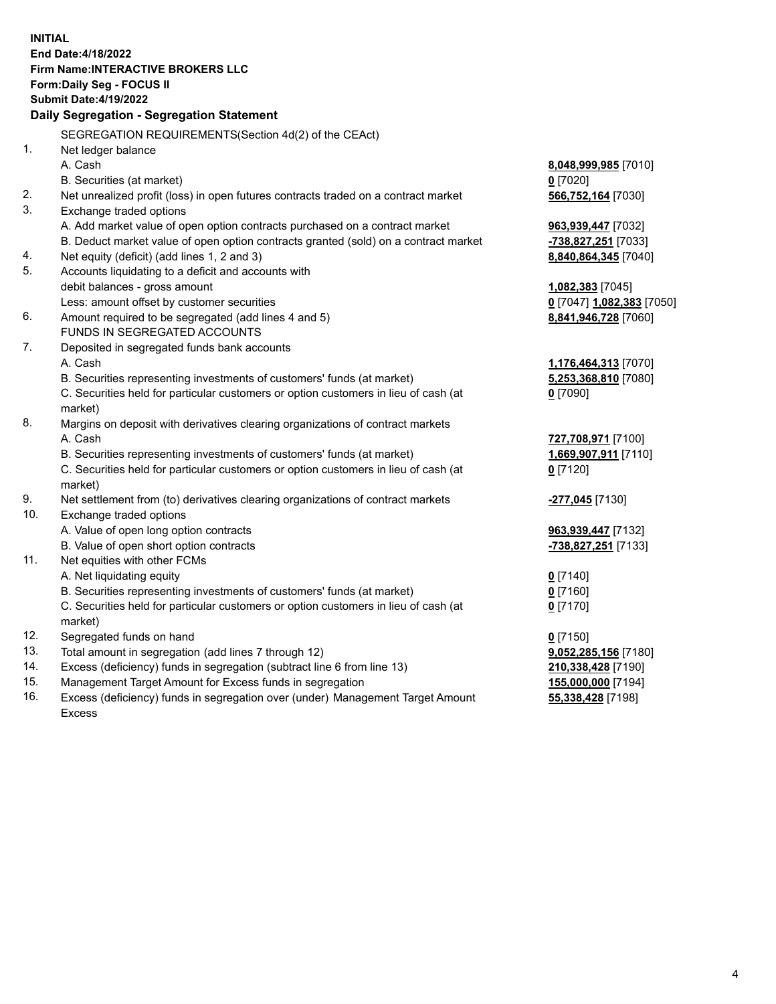**INITIAL End Date:4/18/2022 Firm Name:INTERACTIVE BROKERS LLC Form:Daily Seg - FOCUS II Submit Date:4/19/2022 Daily Segregation - Segregation Statement** SEGREGATION REQUIREMENTS(Section 4d(2) of the CEAct) 1. Net ledger balance A. Cash **8,048,999,985** [7010] B. Securities (at market) **0** [7020] 2. Net unrealized profit (loss) in open futures contracts traded on a contract market **566,752,164** [7030] 3. Exchange traded options A. Add market value of open option contracts purchased on a contract market **963,939,447** [7032] B. Deduct market value of open option contracts granted (sold) on a contract market **-738,827,251** [7033] 4. Net equity (deficit) (add lines 1, 2 and 3) **8,840,864,345** [7040] 5. Accounts liquidating to a deficit and accounts with debit balances - gross amount **1,082,383** [7045] Less: amount offset by customer securities **0** [7047] **1,082,383** [7050] 6. Amount required to be segregated (add lines 4 and 5) **8,841,946,728** [7060] FUNDS IN SEGREGATED ACCOUNTS 7. Deposited in segregated funds bank accounts A. Cash **1,176,464,313** [7070] B. Securities representing investments of customers' funds (at market) **5,253,368,810** [7080] C. Securities held for particular customers or option customers in lieu of cash (at market) **0** [7090] 8. Margins on deposit with derivatives clearing organizations of contract markets A. Cash **727,708,971** [7100] B. Securities representing investments of customers' funds (at market) **1,669,907,911** [7110] C. Securities held for particular customers or option customers in lieu of cash (at market) **0** [7120] 9. Net settlement from (to) derivatives clearing organizations of contract markets **-277,045** [7130] 10. Exchange traded options A. Value of open long option contracts **963,939,447** [7132] B. Value of open short option contracts **-738,827,251** [7133] 11. Net equities with other FCMs A. Net liquidating equity **0** [7140] B. Securities representing investments of customers' funds (at market) **0** [7160] C. Securities held for particular customers or option customers in lieu of cash (at market) **0** [7170] 12. Segregated funds on hand **0** [7150] 13. Total amount in segregation (add lines 7 through 12) **9,052,285,156** [7180] 14. Excess (deficiency) funds in segregation (subtract line 6 from line 13) **210,338,428** [7190] 15. Management Target Amount for Excess funds in segregation **155,000,000** [7194] **55,338,428** [7198]

16. Excess (deficiency) funds in segregation over (under) Management Target Amount Excess